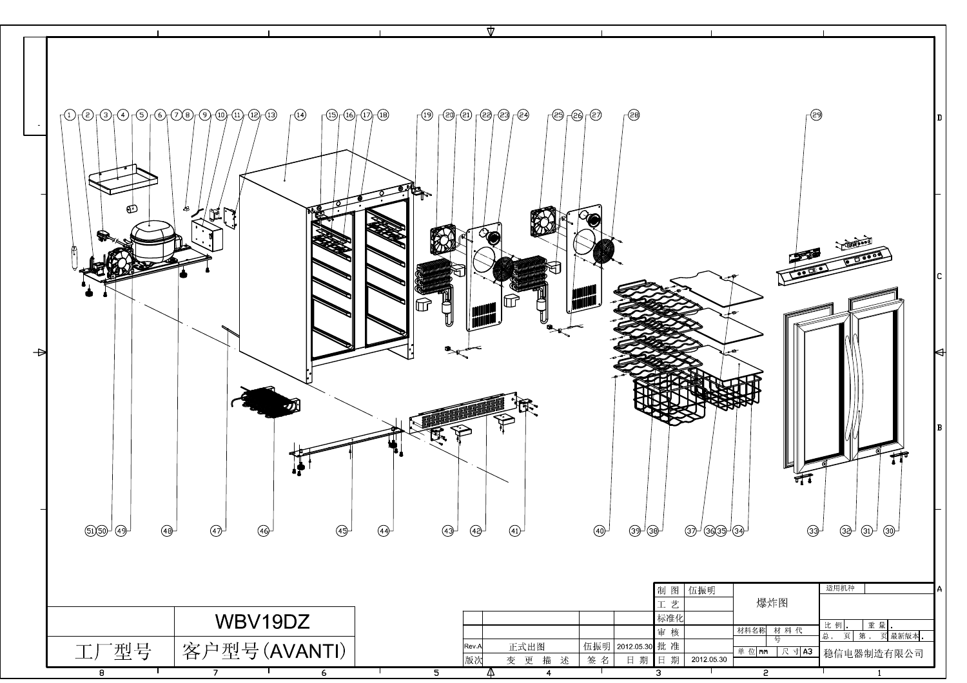